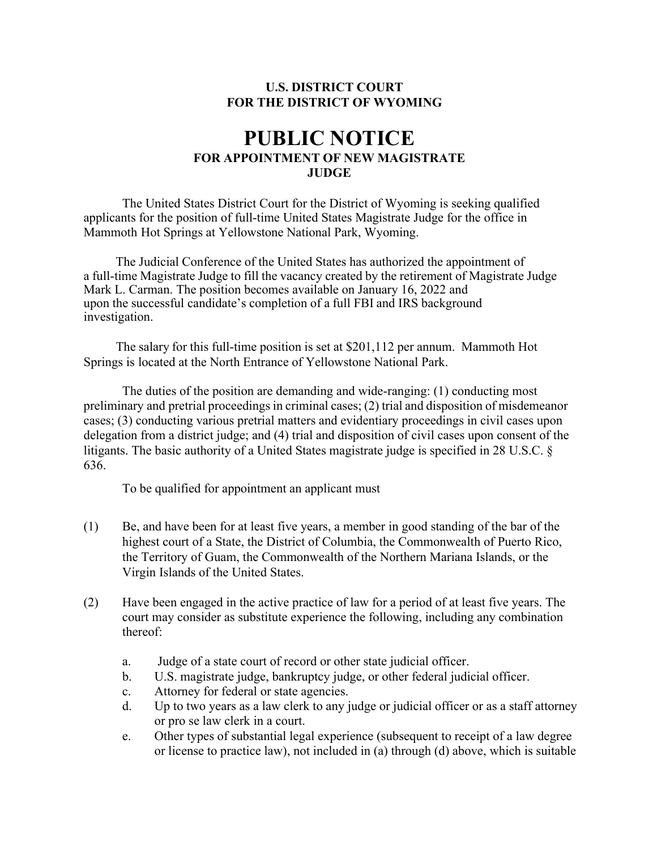## **U.S. DISTRICT COURT FOR THE DISTRICT OF WYOMING**

## **PUBLIC NOTICE FOR APPOINTMENT OF NEW MAGISTRATE JUDGE**

The United States District Court for the District of Wyoming is seeking qualified applicants for the position of full-time United States Magistrate Judge for the office in Mammoth Hot Springs at Yellowstone National Park, Wyoming.

The Judicial Conference of the United States has authorized the appointment of a full-time Magistrate Judge to fill the vacancy created by the retirement of Magistrate Judge Mark L. Carman. The position becomes available on January 16, 2022 and upon the successful candidate's completion of a full FBI and IRS background investigation.

The salary for this full-time position is set at \$201,112 per annum. Mammoth Hot Springs is located at the North Entrance of Yellowstone National Park.

The duties of the position are demanding and wide-ranging: (1) conducting most preliminary and pretrial proceedings in criminal cases;  $(2)$  trial and disposition of misdemeanor cases; (3) conducting various pretrial matters and evidentiary proceedings in civil cases upon delegation from a district judge; and (4) trial and disposition of civil cases upon consent of the litigants. The basic authority of a United States magistrate judge is specified in 28 U.S.C. § 636.

To be qualified for appointment an applicant must

- (1) Be, and have been for at least five years, a member in good standing of the bar of the highest court of a State, the District of Columbia, the Commonwealth of Puerto Rico, the Territory of Guam, the Commonwealth of the Northern Mariana Islands, or the Virgin Islands of the United States.
- (2) Have been engaged in the active practice of law for a period of at least five years. The court may consider as substitute experience the following, including any combination thereof:
	- a. Judge of a state court of record or other state judicial officer.
	- b. U.S. magistrate judge, bankruptcy judge, or other federal judicial officer.
	- c. Attorney for federal or state agencies.
	- d. Up to two years as a law clerk to any judge or judicial officer or as a staff attorney or pro se law clerk in a court.
	- e. Other types of substantial legal experience (subsequent to receipt of a law degree or license to practice law), not included in (a) through (d) above, which is suitable